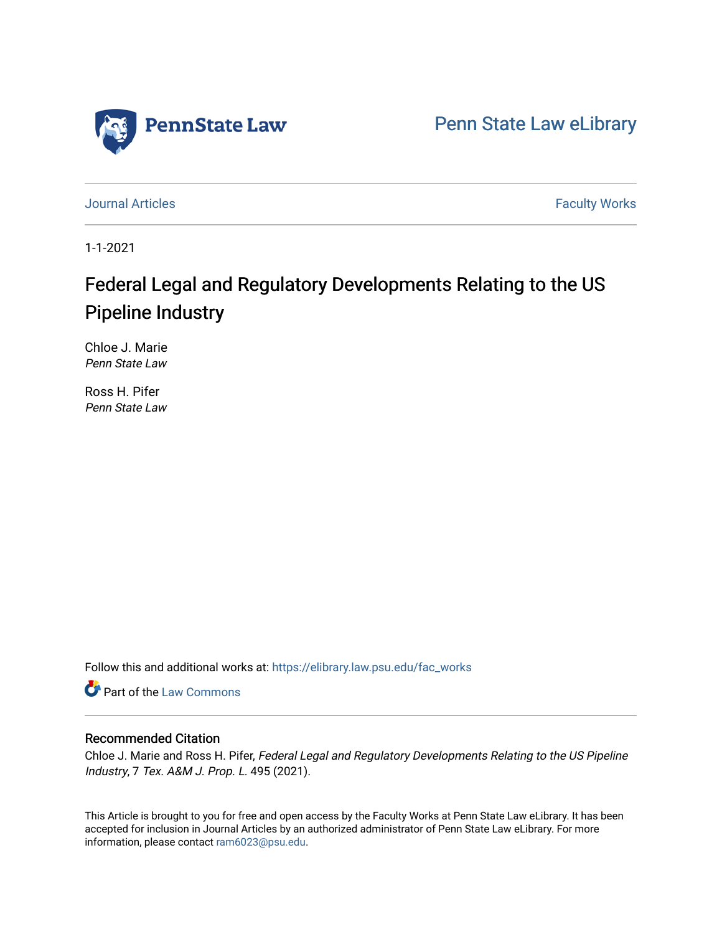

[Penn State Law eLibrary](https://elibrary.law.psu.edu/) 

[Journal Articles](https://elibrary.law.psu.edu/fac_works) **Faculty Works Journal Articles** 

1-1-2021

# Federal Legal and Regulatory Developments Relating to the US Pipeline Industry

Chloe J. Marie Penn State Law

Ross H. Pifer Penn State Law

Follow this and additional works at: [https://elibrary.law.psu.edu/fac\\_works](https://elibrary.law.psu.edu/fac_works?utm_source=elibrary.law.psu.edu%2Ffac_works%2F445&utm_medium=PDF&utm_campaign=PDFCoverPages)

Part of the [Law Commons](https://network.bepress.com/hgg/discipline/578?utm_source=elibrary.law.psu.edu%2Ffac_works%2F445&utm_medium=PDF&utm_campaign=PDFCoverPages)

# Recommended Citation

Chloe J. Marie and Ross H. Pifer, Federal Legal and Regulatory Developments Relating to the US Pipeline Industry, 7 Tex. A&M J. Prop. L. 495 (2021).

This Article is brought to you for free and open access by the Faculty Works at Penn State Law eLibrary. It has been accepted for inclusion in Journal Articles by an authorized administrator of Penn State Law eLibrary. For more information, please contact [ram6023@psu.edu](mailto:ram6023@psu.edu).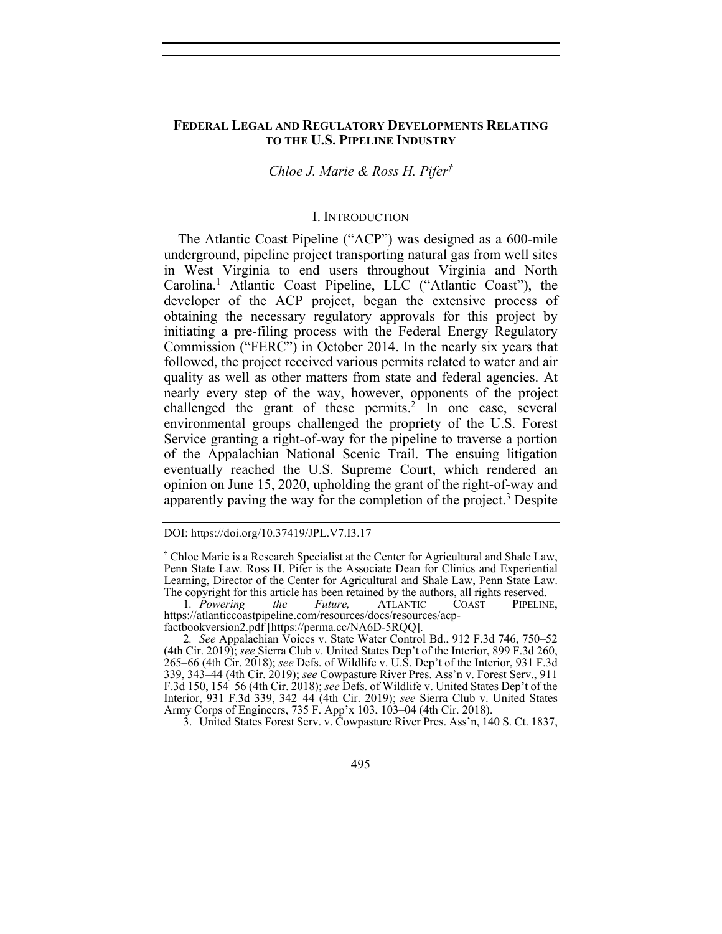## **FEDERAL LEGAL AND REGULATORY DEVELOPMENTS RELATING TO THE U.S. PIPELINE INDUSTRY**

# *Chloe J. Marie & Ross H. Pifer†*

#### I. INTRODUCTION

The Atlantic Coast Pipeline ("ACP") was designed as a 600-mile underground, pipeline project transporting natural gas from well sites in West Virginia to end users throughout Virginia and North Carolina.1 Atlantic Coast Pipeline, LLC ("Atlantic Coast"), the developer of the ACP project, began the extensive process of obtaining the necessary regulatory approvals for this project by initiating a pre-filing process with the Federal Energy Regulatory Commission ("FERC") in October 2014. In the nearly six years that followed, the project received various permits related to water and air quality as well as other matters from state and federal agencies. At nearly every step of the way, however, opponents of the project challenged the grant of these permits.<sup>2</sup> In one case, several environmental groups challenged the propriety of the U.S. Forest Service granting a right-of-way for the pipeline to traverse a portion of the Appalachian National Scenic Trail. The ensuing litigation eventually reached the U.S. Supreme Court, which rendered an opinion on June 15, 2020, upholding the grant of the right-of-way and apparently paving the way for the completion of the project.<sup>3</sup> Despite

3. United States Forest Serv. v. Cowpasture River Pres. Ass'n, 140 S. Ct. 1837,

DOI: https://doi.org/10.37419/JPL.V7.I3.17

<sup>†</sup> Chloe Marie is a Research Specialist at the Center for Agricultural and Shale Law, Penn State Law. Ross H. Pifer is the Associate Dean for Clinics and Experiential Learning, Director of the Center for Agricultural and Shale Law, Penn State Law. The copyright for this article has been retained by the authors, all rights reserved.<br>1. Powering the Future, ATLANTIC COAST PIPELINE,

<sup>1</sup>*. Powering the Future,* ATLANTIC COAST PIPELINE, https://atlanticcoastpipeline.com/resources/docs/resources/acpfactbookversion2.pdf [https://perma.cc/NA6D-5RQQ].

<sup>2</sup>*. See* Appalachian Voices v. State Water Control Bd., 912 F.3d 746, 750–52 (4th Cir. 2019); *see* Sierra Club v. United States Dep't of the Interior, 899 F.3d 260, 265–66 (4th Cir. 2018); *see* Defs. of Wildlife v. U.S. Dep't of the Interior, 931 F.3d 339, 343–44 (4th Cir. 2019); *see* Cowpasture River Pres. Ass'n v. Forest Serv., 911 F.3d 150, 154–56 (4th Cir. 2018); *see* Defs. of Wildlife v. United States Dep't of the Interior, 931 F.3d 339, 342–44 (4th Cir. 2019); *see* Sierra Club v. United States Army Corps of Engineers, 735 F. App'x 103, 103–04 (4th Cir. 2018).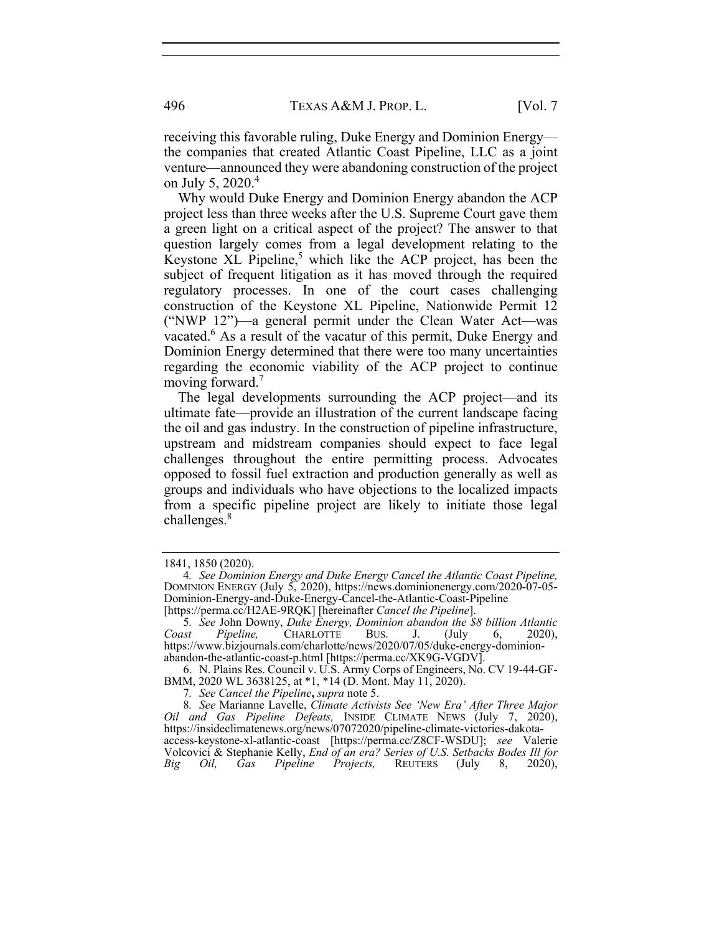receiving this favorable ruling, Duke Energy and Dominion Energy the companies that created Atlantic Coast Pipeline, LLC as a joint venture—announced they were abandoning construction of the project on July 5, 2020.<sup>4</sup>

Why would Duke Energy and Dominion Energy abandon the ACP project less than three weeks after the U.S. Supreme Court gave them a green light on a critical aspect of the project? The answer to that question largely comes from a legal development relating to the Keystone XL Pipeline,<sup>5</sup> which like the ACP project, has been the subject of frequent litigation as it has moved through the required regulatory processes. In one of the court cases challenging construction of the Keystone XL Pipeline, Nationwide Permit 12 ("NWP 12")—a general permit under the Clean Water Act—was vacated.<sup>6</sup> As a result of the vacatur of this permit, Duke Energy and Dominion Energy determined that there were too many uncertainties regarding the economic viability of the ACP project to continue moving forward.<sup>7</sup>

The legal developments surrounding the ACP project—and its ultimate fate—provide an illustration of the current landscape facing the oil and gas industry. In the construction of pipeline infrastructure, upstream and midstream companies should expect to face legal challenges throughout the entire permitting process. Advocates opposed to fossil fuel extraction and production generally as well as groups and individuals who have objections to the localized impacts from a specific pipeline project are likely to initiate those legal challenges.<sup>8</sup>

<sup>1841, 1850 (2020).</sup> 

<sup>4</sup>*. See Dominion Energy and Duke Energy Cancel the Atlantic Coast Pipeline,* DOMINION ENERGY (July 5, 2020), https://news.dominionenergy.com/2020-07-05- Dominion-Energy-and-Duke-Energy-Cancel-the-Atlantic-Coast-Pipeline [https://perma.cc/H2AE-9RQK] [hereinafter *Cancel the Pipeline*].

<sup>5</sup>*. See* John Downy, *Duke Energy, Dominion abandon the \$8 billion Atlantic Coast Pipeline,* CHARLOTTE BUS. J. (July 6, 2020), https://www.bizjournals.com/charlotte/news/2020/07/05/duke-energy-dominionabandon-the-atlantic-coast-p.html [https://perma.cc/XK9G-VGDV].

 <sup>6.</sup> N. Plains Res. Council v. U.S. Army Corps of Engineers, No. CV 19-44-GF-BMM, 2020 WL 3638125, at \*1, \*14 (D. Mont. May 11, 2020).

<sup>7</sup>*. See Cancel the Pipeline***,** *supra* note 5.

<sup>8</sup>*. See* Marianne Lavelle, *Climate Activists See 'New Era' After Three Major Oil and Gas Pipeline Defeats,* INSIDE CLIMATE NEWS (July 7, 2020), https://insideclimatenews.org/news/07072020/pipeline-climate-victories-dakotaaccess-keystone-xl-atlantic-coast [https://perma.cc/Z8CF-WSDU]; *see* Valerie Volcovici & Stephanie Kelly, *End of an era? Series of U.S. Setbacks Bodes Ill for Big Oil, Gas Pipeline Projects,* REUTERS (July 8, 2020),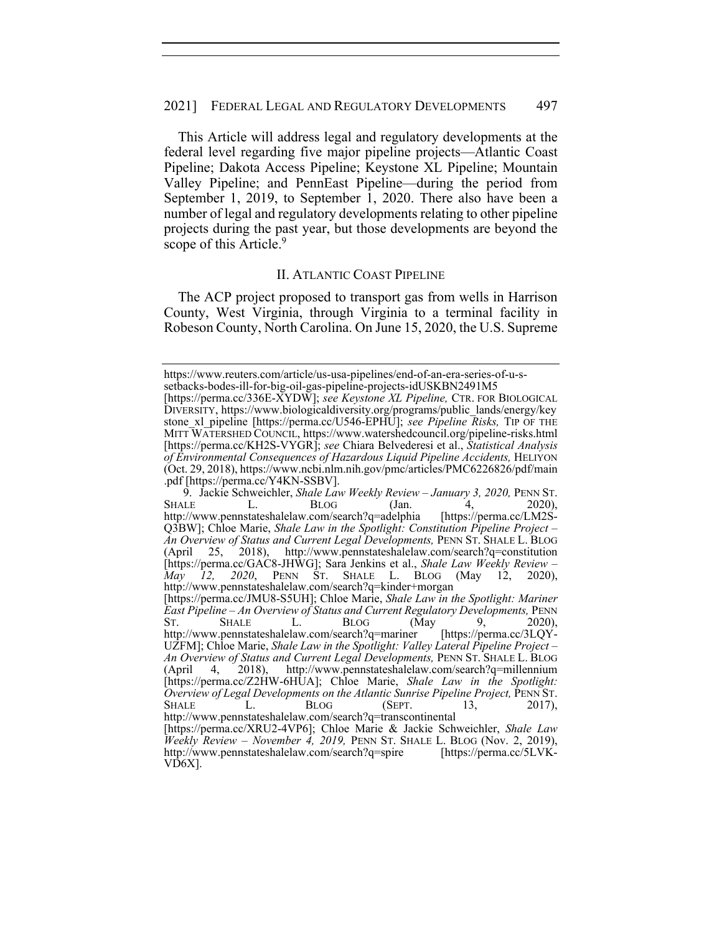This Article will address legal and regulatory developments at the federal level regarding five major pipeline projects—Atlantic Coast Pipeline; Dakota Access Pipeline; Keystone XL Pipeline; Mountain Valley Pipeline; and PennEast Pipeline—during the period from September 1, 2019, to September 1, 2020. There also have been a number of legal and regulatory developments relating to other pipeline projects during the past year, but those developments are beyond the scope of this Article.<sup>9</sup>

#### II. ATLANTIC COAST PIPELINE

The ACP project proposed to transport gas from wells in Harrison County, West Virginia, through Virginia to a terminal facility in Robeson County, North Carolina. On June 15, 2020, the U.S. Supreme

https://www.reuters.com/article/us-usa-pipelines/end-of-an-era-series-of-u-ssetbacks-bodes-ill-for-big-oil-gas-pipeline-projects-idUSKBN2491M5

<sup>[</sup>https://perma.cc/336E-XYDW]; *see Keystone XL Pipeline,* CTR. FOR BIOLOGICAL DIVERSITY, https://www.biologicaldiversity.org/programs/public\_lands/energy/key stone\_xl\_pipeline [https://perma.cc/U546-EPHU]; *see Pipeline Risks,* TIP OF THE MITT WATERSHED COUNCIL, https://www.watershedcouncil.org/pipeline-risks.html [https://perma.cc/KH2S-VYGR]; *see* Chiara Belvederesi et al., *Statistical Analysis of Environmental Consequences of Hazardous Liquid Pipeline Accidents,* HELIYON (Oct. 29, 2018), https://www.ncbi.nlm.nih.gov/pmc/articles/PMC6226826/pdf/main .pdf [https://perma.cc/Y4KN-SSBV].

<sup>9.</sup> Jackie Schweichler, *Shale Law Weekly Review – January 3, 2020*, PENN ST.<br>SHALE L. BLOG (Jan. 4, 2020), http://www.pennstateshalelaw.com/search?q=adelphia [https://perma.cc/LM2S-Q3BW]; Chloe Marie, *Shale Law in the Spotlight: Constitution Pipeline Project – An Overview of Status and Current Legal Developments,* PENN ST. SHALE L. BLOG (April 25, 2018), http://www.pennstateshalelaw.com/search?q=constitution [https://perma.cc/GAC8-JHWG]; Sara Jenkins et al., *Shale Law Weekly Review – May 12, 2020*, PENN ST. SHALE L. BLOG (May 12, 2020), http://www.pennstateshalelaw.com/search?q=kinder+morgan [https://perma.cc/JMU8-S5UH]; Chloe Marie, *Shale Law in the Spotlight: Mariner East Pipeline – An Overview of Status and Current Regulatory Developments,* PENN ST. SHALE L. BLOG (May 9, 2020), http://www.pennstateshalelaw.com/search?q=mariner [https://perma.cc/3LQY-UZFM]; Chloe Marie, *Shale Law in the Spotlight: Valley Lateral Pipeline Project – An Overview of Status and Current Legal Developments,* PENN ST. SHALE L. BLOG (April 4, 2018), http://www.pennstateshalelaw.com/search?q=millennium [https://perma.cc/Z2HW-6HUA]; Chloe Marie, *Shale Law in the Spotlight: Overview of Legal Developments on the Atlantic Sunrise Pipeline Project,* PENN ST. SHALE L. BLOG (SEPT. 13, 2017), http://www.pennstateshalelaw.com/search?q=transcontinental [https://perma.cc/XRU2-4VP6]; Chloe Marie & Jackie Schweichler, *Shale Law Weekly Review – November 4, 2019,* PENN ST. SHALE L. BLOG (Nov. 2, 2019), http://www.pennstateshalelaw.com/search?q=spire [https://perma.cc/5LVK-VD6X].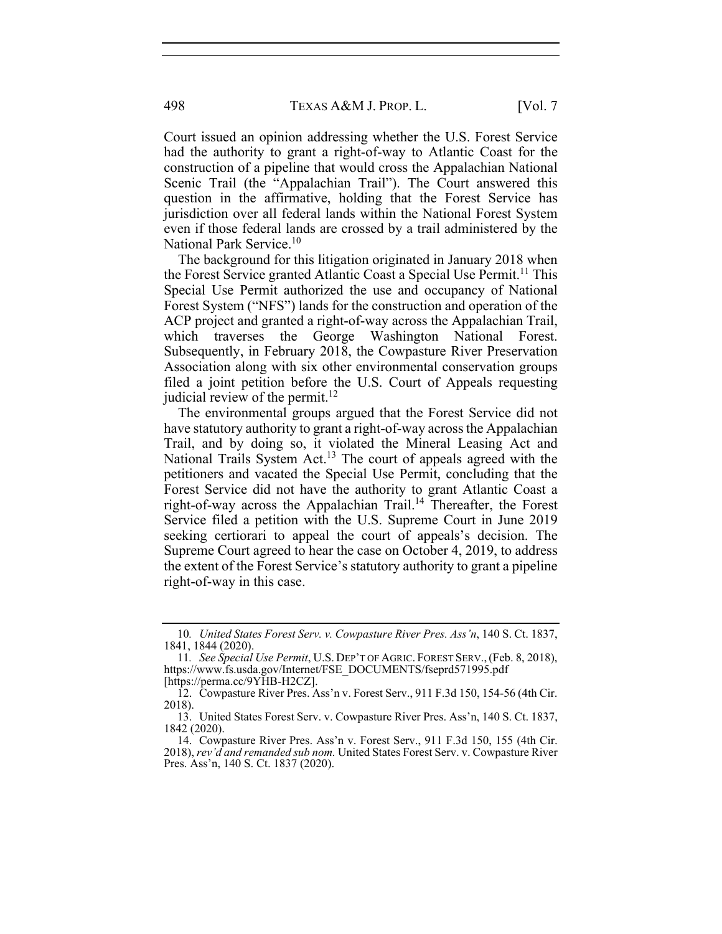Court issued an opinion addressing whether the U.S. Forest Service had the authority to grant a right-of-way to Atlantic Coast for the construction of a pipeline that would cross the Appalachian National Scenic Trail (the "Appalachian Trail"). The Court answered this question in the affirmative, holding that the Forest Service has jurisdiction over all federal lands within the National Forest System even if those federal lands are crossed by a trail administered by the National Park Service.<sup>10</sup>

The background for this litigation originated in January 2018 when the Forest Service granted Atlantic Coast a Special Use Permit.<sup>11</sup> This Special Use Permit authorized the use and occupancy of National Forest System ("NFS") lands for the construction and operation of the ACP project and granted a right-of-way across the Appalachian Trail, which traverses the George Washington National Forest. Subsequently, in February 2018, the Cowpasture River Preservation Association along with six other environmental conservation groups filed a joint petition before the U.S. Court of Appeals requesting judicial review of the permit.<sup>12</sup>

The environmental groups argued that the Forest Service did not have statutory authority to grant a right-of-way across the Appalachian Trail, and by doing so, it violated the Mineral Leasing Act and National Trails System Act.<sup>13</sup> The court of appeals agreed with the petitioners and vacated the Special Use Permit, concluding that the Forest Service did not have the authority to grant Atlantic Coast a right-of-way across the Appalachian Trail.14 Thereafter, the Forest Service filed a petition with the U.S. Supreme Court in June 2019 seeking certiorari to appeal the court of appeals's decision. The Supreme Court agreed to hear the case on October 4, 2019, to address the extent of the Forest Service's statutory authority to grant a pipeline right-of-way in this case.

<sup>10</sup>*. United States Forest Serv. v. Cowpasture River Pres. Ass'n*, 140 S. Ct. 1837, 1841, 1844 (2020).

<sup>11</sup>*. See Special Use Permit*, U.S. DEP'T OF AGRIC. FOREST SERV.,(Feb. 8, 2018), https://www.fs.usda.gov/Internet/FSE\_DOCUMENTS/fseprd571995.pdf [https://perma.cc/9YHB-H2CZ].

 <sup>12.</sup> Cowpasture River Pres. Ass'n v. Forest Serv., 911 F.3d 150, 154-56 (4th Cir. 2018).

 <sup>13.</sup> United States Forest Serv. v. Cowpasture River Pres. Ass'n, 140 S. Ct. 1837, 1842 (2020).

 <sup>14.</sup> Cowpasture River Pres. Ass'n v. Forest Serv., 911 F.3d 150, 155 (4th Cir. 2018), *rev'd and remanded sub nom.* United States Forest Serv. v. Cowpasture River Pres. Ass'n, 140 S. Ct. 1837 (2020).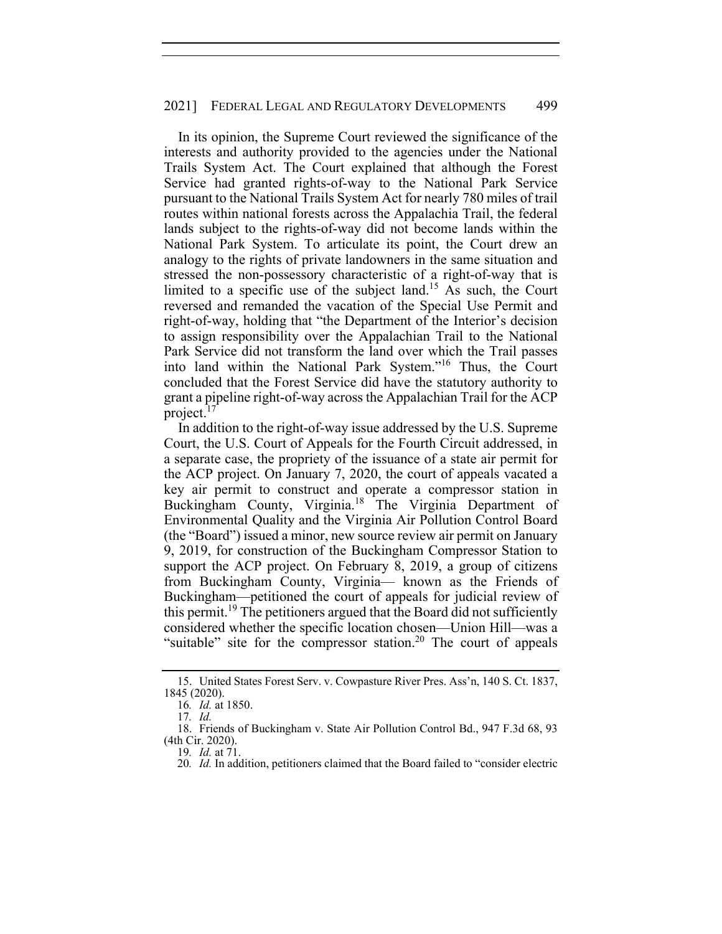In its opinion, the Supreme Court reviewed the significance of the interests and authority provided to the agencies under the National Trails System Act. The Court explained that although the Forest Service had granted rights-of-way to the National Park Service pursuant to the National Trails System Act for nearly 780 miles of trail routes within national forests across the Appalachia Trail, the federal lands subject to the rights-of-way did not become lands within the National Park System. To articulate its point, the Court drew an analogy to the rights of private landowners in the same situation and stressed the non-possessory characteristic of a right-of-way that is limited to a specific use of the subject land.<sup>15</sup> As such, the Court reversed and remanded the vacation of the Special Use Permit and right-of-way, holding that "the Department of the Interior's decision to assign responsibility over the Appalachian Trail to the National Park Service did not transform the land over which the Trail passes into land within the National Park System."16 Thus, the Court concluded that the Forest Service did have the statutory authority to grant a pipeline right-of-way across the Appalachian Trail for the ACP project. $<sup>T</sup>$ </sup>

In addition to the right-of-way issue addressed by the U.S. Supreme Court, the U.S. Court of Appeals for the Fourth Circuit addressed, in a separate case, the propriety of the issuance of a state air permit for the ACP project. On January 7, 2020, the court of appeals vacated a key air permit to construct and operate a compressor station in Buckingham County, Virginia.<sup>18</sup> The Virginia Department of Environmental Quality and the Virginia Air Pollution Control Board (the "Board") issued a minor, new source review air permit on January 9, 2019, for construction of the Buckingham Compressor Station to support the ACP project. On February 8, 2019, a group of citizens from Buckingham County, Virginia— known as the Friends of Buckingham—petitioned the court of appeals for judicial review of this permit.<sup>19</sup> The petitioners argued that the Board did not sufficiently considered whether the specific location chosen—Union Hill—was a "suitable" site for the compressor station.<sup>20</sup> The court of appeals

 <sup>15.</sup> United States Forest Serv. v. Cowpasture River Pres. Ass'n, 140 S. Ct. 1837, 1845 (2020).

<sup>16</sup>*. Id.* at 1850.

<sup>17</sup>*. Id.*

 <sup>18.</sup> Friends of Buckingham v. State Air Pollution Control Bd., 947 F.3d 68, 93 (4th Cir. 2020).

<sup>19</sup>*. Id.* at 71.

<sup>20.</sup> Id. In addition, petitioners claimed that the Board failed to "consider electric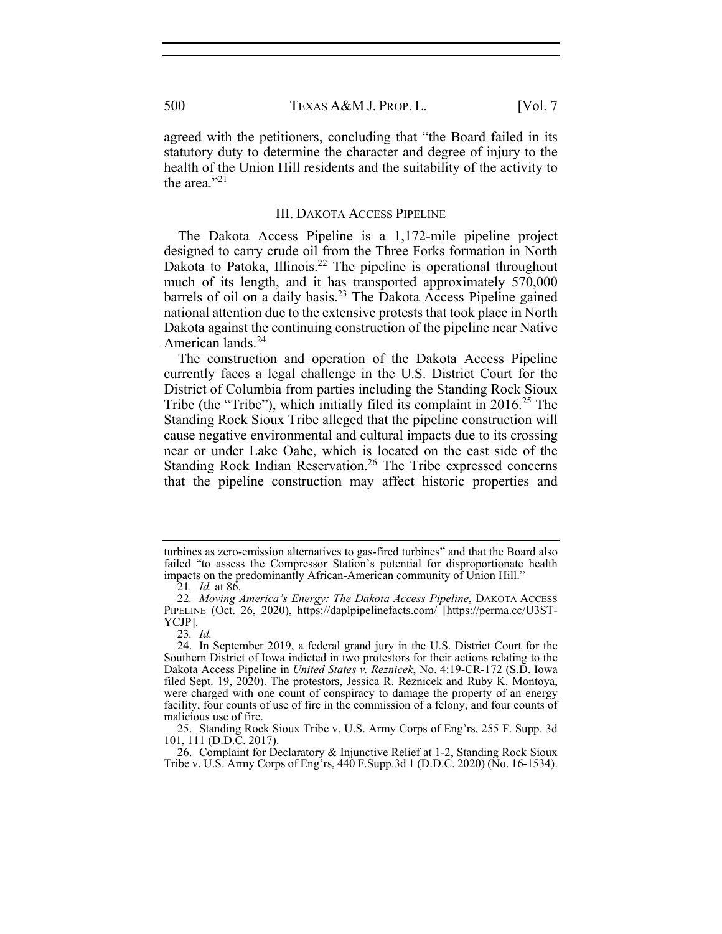agreed with the petitioners, concluding that "the Board failed in its statutory duty to determine the character and degree of injury to the health of the Union Hill residents and the suitability of the activity to the area." $^{21}$ 

### III. DAKOTA ACCESS PIPELINE

The Dakota Access Pipeline is a 1,172-mile pipeline project designed to carry crude oil from the Three Forks formation in North Dakota to Patoka, Illinois.<sup>22</sup> The pipeline is operational throughout much of its length, and it has transported approximately 570,000 barrels of oil on a daily basis.<sup>23</sup> The Dakota Access Pipeline gained national attention due to the extensive protests that took place in North Dakota against the continuing construction of the pipeline near Native American lands.<sup>24</sup>

The construction and operation of the Dakota Access Pipeline currently faces a legal challenge in the U.S. District Court for the District of Columbia from parties including the Standing Rock Sioux Tribe (the "Tribe"), which initially filed its complaint in  $2016<sup>25</sup>$  The Standing Rock Sioux Tribe alleged that the pipeline construction will cause negative environmental and cultural impacts due to its crossing near or under Lake Oahe, which is located on the east side of the Standing Rock Indian Reservation.<sup>26</sup> The Tribe expressed concerns that the pipeline construction may affect historic properties and

 26. Complaint for Declaratory & Injunctive Relief at 1-2, Standing Rock Sioux Tribe v. U.S. Army Corps of Eng'rs, 440 F.Supp.3d 1 (D.D.C. 2020) (No. 16-1534).

turbines as zero-emission alternatives to gas-fired turbines" and that the Board also failed "to assess the Compressor Station's potential for disproportionate health impacts on the predominantly African-American community of Union Hill."

<sup>21</sup>*. Id.* at 86.

<sup>22</sup>*. Moving America's Energy: The Dakota Access Pipeline*, DAKOTA ACCESS PIPELINE (Oct. 26, 2020), https://daplpipelinefacts.com/ [https://perma.cc/U3ST-YCJP].

<sup>23</sup>*. Id.*

 <sup>24.</sup> In September 2019, a federal grand jury in the U.S. District Court for the Southern District of Iowa indicted in two protestors for their actions relating to the Dakota Access Pipeline in *United States v. Reznicek*, No. 4:19-CR-172 (S.D. Iowa filed Sept. 19, 2020). The protestors, Jessica R. Reznicek and Ruby K. Montoya, were charged with one count of conspiracy to damage the property of an energy facility, four counts of use of fire in the commission of a felony, and four counts of malicious use of fire.

 <sup>25.</sup> Standing Rock Sioux Tribe v. U.S. Army Corps of Eng'rs, 255 F. Supp. 3d 101, 111 (D.D.C. 2017).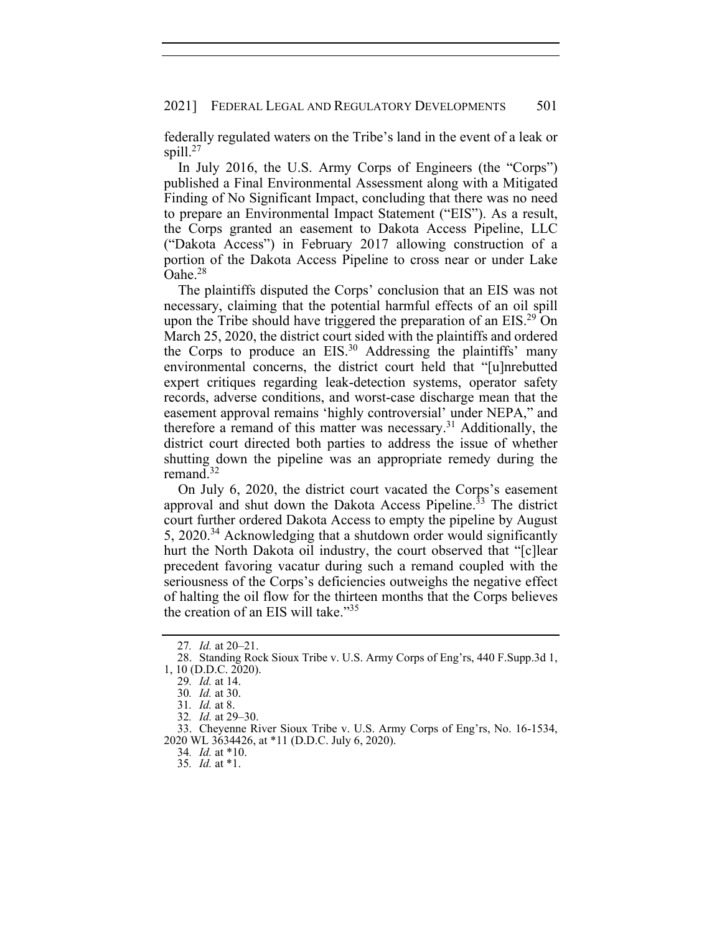federally regulated waters on the Tribe's land in the event of a leak or spill.<sup>27</sup>

In July 2016, the U.S. Army Corps of Engineers (the "Corps") published a Final Environmental Assessment along with a Mitigated Finding of No Significant Impact, concluding that there was no need to prepare an Environmental Impact Statement ("EIS"). As a result, the Corps granted an easement to Dakota Access Pipeline, LLC ("Dakota Access") in February 2017 allowing construction of a portion of the Dakota Access Pipeline to cross near or under Lake Oahe.<sup>28</sup>

The plaintiffs disputed the Corps' conclusion that an EIS was not necessary, claiming that the potential harmful effects of an oil spill upon the Tribe should have triggered the preparation of an  $EIS<sup>29</sup>$  On March 25, 2020, the district court sided with the plaintiffs and ordered the Corps to produce an  $EIS<sup>30</sup>$  Addressing the plaintiffs' many environmental concerns, the district court held that "[u]nrebutted expert critiques regarding leak-detection systems, operator safety records, adverse conditions, and worst-case discharge mean that the easement approval remains 'highly controversial' under NEPA," and therefore a remand of this matter was necessary.31 Additionally, the district court directed both parties to address the issue of whether shutting down the pipeline was an appropriate remedy during the remand. $32$ 

On July 6, 2020, the district court vacated the Corps's easement approval and shut down the Dakota Access Pipeline.<sup>33</sup> The district court further ordered Dakota Access to empty the pipeline by August 5, 2020.<sup>34</sup> Acknowledging that a shutdown order would significantly hurt the North Dakota oil industry, the court observed that "[c]lear precedent favoring vacatur during such a remand coupled with the seriousness of the Corps's deficiencies outweighs the negative effect of halting the oil flow for the thirteen months that the Corps believes the creation of an EIS will take."<sup>35</sup>

<sup>27</sup>*. Id.* at 20–21.

 <sup>28.</sup> Standing Rock Sioux Tribe v. U.S. Army Corps of Eng'rs, 440 F.Supp.3d 1, 1, 10 (D.D.C. 2020).

<sup>29</sup>*. Id.* at 14.

<sup>30</sup>*. Id.* at 30.

<sup>31</sup>*. Id.* at 8.

<sup>32</sup>*. Id.* at 29–30.

 <sup>33.</sup> Cheyenne River Sioux Tribe v. U.S. Army Corps of Eng'rs, No. 16-1534, 2020 WL 3634426, at \*11 (D.D.C. July 6, 2020).

<sup>34</sup>*. Id.* at \*10.

<sup>35</sup>*. Id.* at \*1.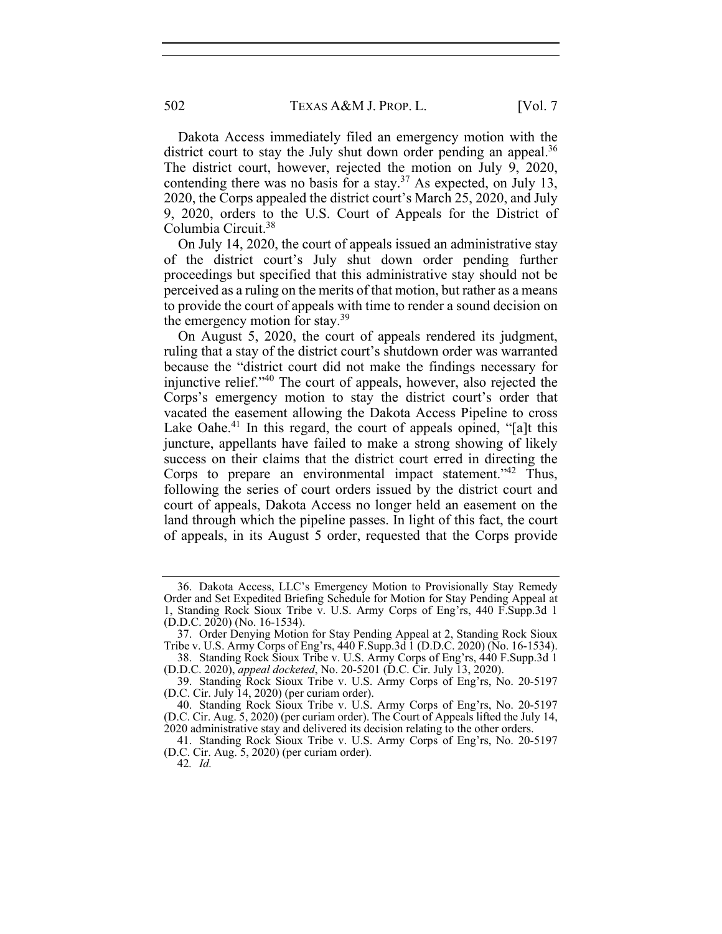502 TEXAS A&M J. PROP. L. [Vol. 7

Dakota Access immediately filed an emergency motion with the district court to stay the July shut down order pending an appeal.<sup>36</sup> The district court, however, rejected the motion on July 9, 2020, contending there was no basis for a stay.<sup>37</sup> As expected, on July 13, 2020, the Corps appealed the district court's March 25, 2020, and July 9, 2020, orders to the U.S. Court of Appeals for the District of Columbia Circuit.38

On July 14, 2020, the court of appeals issued an administrative stay of the district court's July shut down order pending further proceedings but specified that this administrative stay should not be perceived as a ruling on the merits of that motion, but rather as a means to provide the court of appeals with time to render a sound decision on the emergency motion for stay. $39$ 

On August 5, 2020, the court of appeals rendered its judgment, ruling that a stay of the district court's shutdown order was warranted because the "district court did not make the findings necessary for injunctive relief."40 The court of appeals, however, also rejected the Corps's emergency motion to stay the district court's order that vacated the easement allowing the Dakota Access Pipeline to cross Lake Oahe. $41$  In this regard, the court of appeals opined, "[a]t this juncture, appellants have failed to make a strong showing of likely success on their claims that the district court erred in directing the Corps to prepare an environmental impact statement."<sup>42</sup> Thus, following the series of court orders issued by the district court and court of appeals, Dakota Access no longer held an easement on the land through which the pipeline passes. In light of this fact, the court of appeals, in its August 5 order, requested that the Corps provide

 <sup>36.</sup> Dakota Access, LLC's Emergency Motion to Provisionally Stay Remedy Order and Set Expedited Briefing Schedule for Motion for Stay Pending Appeal at 1, Standing Rock Sioux Tribe v. U.S. Army Corps of Eng'rs, 440 F.Supp.3d 1 (D.D.C. 2020) (No. 16-1534).

 <sup>37.</sup> Order Denying Motion for Stay Pending Appeal at 2, Standing Rock Sioux Tribe v. U.S. Army Corps of Eng'rs, 440 F. Supp. 3d 1 (D.D.C. 2020) (No. 16-1534).

 <sup>38.</sup> Standing Rock Sioux Tribe v. U.S. Army Corps of Eng'rs, 440 F.Supp.3d 1 (D.D.C. 2020), *appeal docketed*, No. 20-5201 (D.C. Cir. July 13, 2020).

 <sup>39.</sup> Standing Rock Sioux Tribe v. U.S. Army Corps of Eng'rs, No. 20-5197 (D.C. Cir. July 14, 2020) (per curiam order).

 <sup>40.</sup> Standing Rock Sioux Tribe v. U.S. Army Corps of Eng'rs, No. 20-5197 (D.C. Cir. Aug. 5, 2020) (per curiam order). The Court of Appeals lifted the July 14, 2020 administrative stay and delivered its decision relating to the other orders.

 <sup>41.</sup> Standing Rock Sioux Tribe v. U.S. Army Corps of Eng'rs, No. 20-5197 (D.C. Cir. Aug. 5, 2020) (per curiam order).

<sup>42</sup>*. Id.*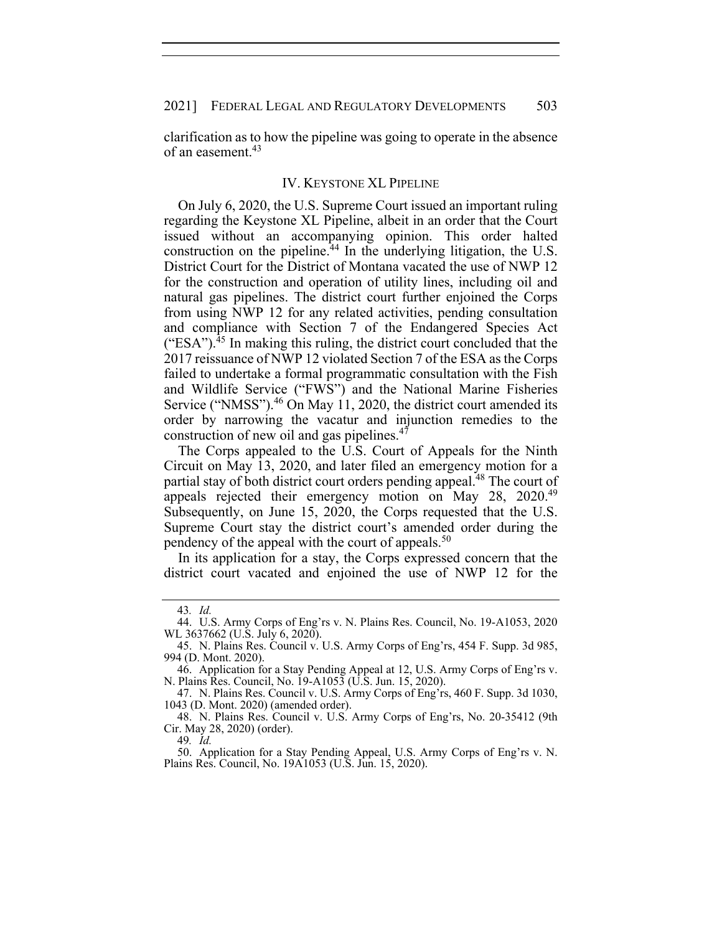clarification as to how the pipeline was going to operate in the absence of an easement.<sup>43</sup>

#### IV. KEYSTONE XL PIPELINE

On July 6, 2020, the U.S. Supreme Court issued an important ruling regarding the Keystone XL Pipeline, albeit in an order that the Court issued without an accompanying opinion. This order halted construction on the pipeline. $^{44}$  In the underlying litigation, the U.S. District Court for the District of Montana vacated the use of NWP 12 for the construction and operation of utility lines, including oil and natural gas pipelines. The district court further enjoined the Corps from using NWP 12 for any related activities, pending consultation and compliance with Section 7 of the Endangered Species Act ("ESA"). $^{45}$  In making this ruling, the district court concluded that the 2017 reissuance of NWP 12 violated Section 7 of the ESA as the Corps failed to undertake a formal programmatic consultation with the Fish and Wildlife Service ("FWS") and the National Marine Fisheries Service ("NMSS").<sup>46</sup> On May 11, 2020, the district court amended its order by narrowing the vacatur and injunction remedies to the construction of new oil and gas pipelines.<sup>47</sup>

The Corps appealed to the U.S. Court of Appeals for the Ninth Circuit on May 13, 2020, and later filed an emergency motion for a partial stay of both district court orders pending appeal.<sup>48</sup> The court of appeals rejected their emergency motion on May 28, 2020.<sup>49</sup> Subsequently, on June 15, 2020, the Corps requested that the U.S. Supreme Court stay the district court's amended order during the pendency of the appeal with the court of appeals.<sup>50</sup>

In its application for a stay, the Corps expressed concern that the district court vacated and enjoined the use of NWP 12 for the

<sup>43</sup>*. Id.* 

 <sup>44.</sup> U.S. Army Corps of Eng'rs v. N. Plains Res. Council, No. 19-A1053, 2020 WL 3637662 (U.S. July 6, 2020).

 <sup>45.</sup> N. Plains Res. Council v. U.S. Army Corps of Eng'rs, 454 F. Supp. 3d 985, 994 (D. Mont. 2020).

 <sup>46.</sup> Application for a Stay Pending Appeal at 12, U.S. Army Corps of Eng'rs v. N. Plains Res. Council, No. 19-A1053 (U.S. Jun. 15, 2020).

 <sup>47.</sup> N. Plains Res. Council v. U.S. Army Corps of Eng'rs, 460 F. Supp. 3d 1030, 1043 (D. Mont. 2020) (amended order).

 <sup>48.</sup> N. Plains Res. Council v. U.S. Army Corps of Eng'rs, No. 20-35412 (9th Cir. May 28, 2020) (order).

<sup>49</sup>*. Id.*

 <sup>50.</sup> Application for a Stay Pending Appeal, U.S. Army Corps of Eng'rs v. N. Plains Res. Council, No. 19A1053 (U.S. Jun. 15, 2020).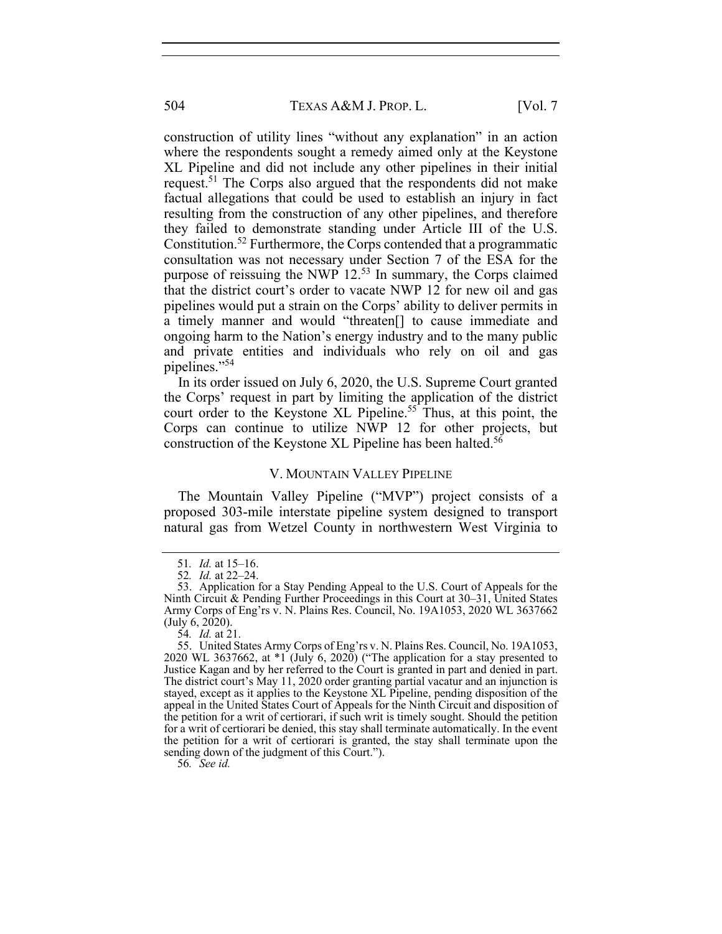504 **TEXAS A&M J. PROP. L.** [Vol. 7]

construction of utility lines "without any explanation" in an action where the respondents sought a remedy aimed only at the Keystone XL Pipeline and did not include any other pipelines in their initial request.<sup>51</sup> The Corps also argued that the respondents did not make factual allegations that could be used to establish an injury in fact resulting from the construction of any other pipelines, and therefore they failed to demonstrate standing under Article III of the U.S. Constitution.52 Furthermore, the Corps contended that a programmatic consultation was not necessary under Section 7 of the ESA for the purpose of reissuing the NWP  $12<sup>53</sup>$  In summary, the Corps claimed that the district court's order to vacate NWP 12 for new oil and gas pipelines would put a strain on the Corps' ability to deliver permits in a timely manner and would "threaten[] to cause immediate and ongoing harm to the Nation's energy industry and to the many public and private entities and individuals who rely on oil and gas pipelines."<sup>54</sup>

In its order issued on July 6, 2020, the U.S. Supreme Court granted the Corps' request in part by limiting the application of the district court order to the Keystone XL Pipeline.<sup>55</sup> Thus, at this point, the Corps can continue to utilize NWP 12 for other projects, but construction of the Keystone XL Pipeline has been halted.<sup>56</sup>

### V. MOUNTAIN VALLEY PIPELINE

The Mountain Valley Pipeline ("MVP") project consists of a proposed 303-mile interstate pipeline system designed to transport natural gas from Wetzel County in northwestern West Virginia to

56*. See id.*

<sup>51</sup>*. Id.* at 15–16.

<sup>52</sup>*. Id.* at 22–24.

 <sup>53.</sup> Application for a Stay Pending Appeal to the U.S. Court of Appeals for the Ninth Circuit & Pending Further Proceedings in this Court at 30–31, United States Army Corps of Eng'rs v. N. Plains Res. Council, No. 19A1053, 2020 WL 3637662  $($ July 6, 2020).

<sup>54</sup>*. Id.* at 21.

 <sup>55.</sup> United States Army Corps of Eng'rs v. N. Plains Res. Council, No. 19A1053, 2020 WL 3637662, at  $*1$  (July 6, 2020) ("The application for a stay presented to Justice Kagan and by her referred to the Court is granted in part and denied in part. The district court's May 11, 2020 order granting partial vacatur and an injunction is stayed, except as it applies to the Keystone XL Pipeline, pending disposition of the appeal in the United States Court of Appeals for the Ninth Circuit and disposition of the petition for a writ of certiorari, if such writ is timely sought. Should the petition for a writ of certiorari be denied, this stay shall terminate automatically. In the event the petition for a writ of certiorari is granted, the stay shall terminate upon the sending down of the judgment of this Court.").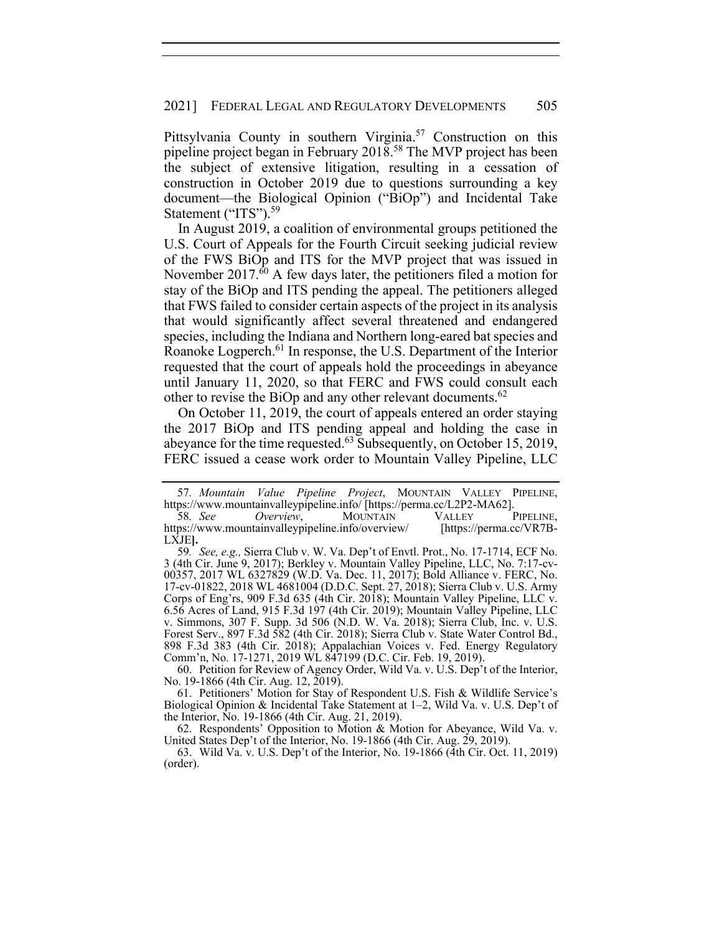Pittsylvania County in southern Virginia.<sup>57</sup> Construction on this pipeline project began in February 2018.58 The MVP project has been the subject of extensive litigation, resulting in a cessation of construction in October 2019 due to questions surrounding a key document—the Biological Opinion ("BiOp") and Incidental Take Statement ("ITS").<sup>59</sup>

In August 2019, a coalition of environmental groups petitioned the U.S. Court of Appeals for the Fourth Circuit seeking judicial review of the FWS BiOp and ITS for the MVP project that was issued in November 2017.<sup>60</sup> A few days later, the petitioners filed a motion for stay of the BiOp and ITS pending the appeal. The petitioners alleged that FWS failed to consider certain aspects of the project in its analysis that would significantly affect several threatened and endangered species, including the Indiana and Northern long-eared bat species and Roanoke Logperch.<sup>61</sup> In response, the U.S. Department of the Interior requested that the court of appeals hold the proceedings in abeyance until January 11, 2020, so that FERC and FWS could consult each other to revise the BiOp and any other relevant documents.<sup>62</sup>

On October 11, 2019, the court of appeals entered an order staying the 2017 BiOp and ITS pending appeal and holding the case in abeyance for the time requested. $63$  Subsequently, on October 15, 2019, FERC issued a cease work order to Mountain Valley Pipeline, LLC

 60. Petition for Review of Agency Order, Wild Va. v. U.S. Dep't of the Interior, No. 19-1866 (4th Cir. Aug. 12, 2019).

 61. Petitioners' Motion for Stay of Respondent U.S. Fish & Wildlife Service's Biological Opinion & Incidental Take Statement at 1–2, Wild Va. v. U.S. Dep't of the Interior, No. 19-1866 (4th Cir. Aug. 21, 2019).

 62. Respondents' Opposition to Motion & Motion for Abeyance, Wild Va. v. United States Dep't of the Interior, No. 19-1866 (4th Cir. Aug. 29, 2019).

 63. Wild Va. v. U.S. Dep't of the Interior, No. 19-1866 (4th Cir. Oct. 11, 2019) (order).

<sup>57</sup>*. Mountain Value Pipeline Project*, MOUNTAIN VALLEY PIPELINE, https://www.mountainvalleypipeline.info/ [https://perma.cc/L2P2-MA62].

<sup>58.</sup> See Overview, MOUNTAIN VALLEY https://www.mountainvalleypipeline.info/overview/ [https://perma.cc/VR7B-LXJE**].**

<sup>59</sup>*. See, e.g.,* Sierra Club v. W. Va. Dep't of Envtl. Prot., No. 17-1714, ECF No. 3 (4th Cir. June 9, 2017); Berkley v. Mountain Valley Pipeline, LLC, No. 7:17-cv-00357, 2017 WL 6327829 (W.D. Va. Dec. 11, 2017); Bold Alliance v. FERC, No. 17-cv-01822, 2018 WL 4681004 (D.D.C. Sept. 27, 2018); Sierra Club v. U.S. Army Corps of Eng'rs, 909 F.3d 635 (4th Cir. 2018); Mountain Valley Pipeline, LLC v. 6.56 Acres of Land, 915 F.3d 197 (4th Cir. 2019); Mountain Valley Pipeline, LLC v. Simmons, 307 F. Supp. 3d 506 (N.D. W. Va. 2018); Sierra Club, Inc. v. U.S. Forest Serv., 897 F.3d 582 (4th Cir. 2018); Sierra Club v. State Water Control Bd., 898 F.3d 383 (4th Cir. 2018); Appalachian Voices v. Fed. Energy Regulatory Comm'n, No. 17-1271, 2019 WL 847199 (D.C. Cir. Feb. 19, 2019).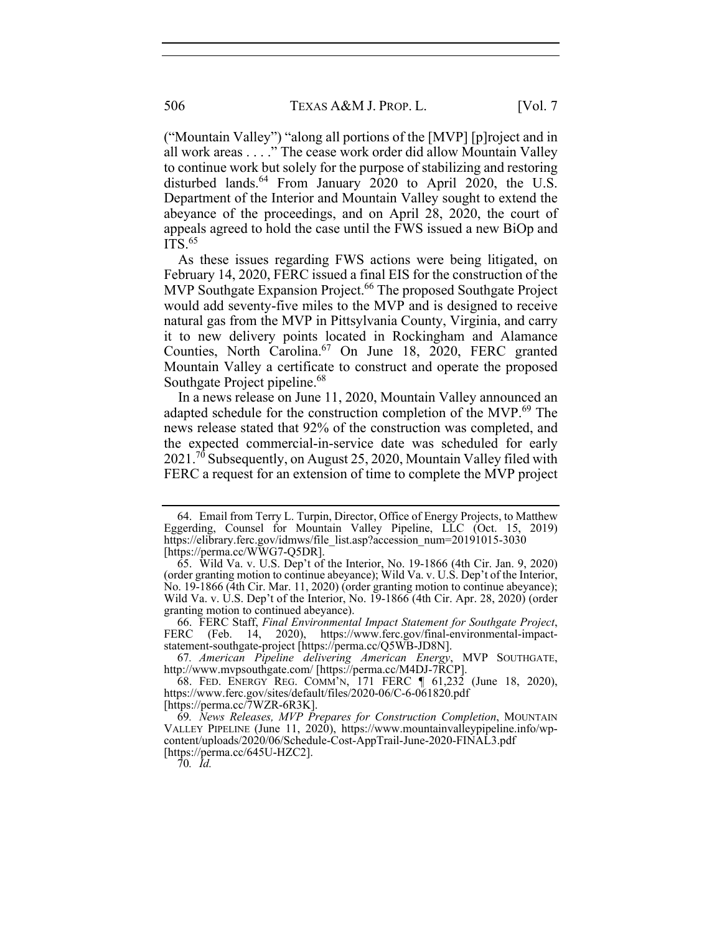("Mountain Valley") "along all portions of the [MVP] [p]roject and in all work areas . . . ." The cease work order did allow Mountain Valley to continue work but solely for the purpose of stabilizing and restoring disturbed lands.<sup>64</sup> From January 2020 to April 2020, the U.S. Department of the Interior and Mountain Valley sought to extend the abeyance of the proceedings, and on April 28, 2020, the court of appeals agreed to hold the case until the FWS issued a new BiOp and  $ITS<sup>65</sup>$ 

As these issues regarding FWS actions were being litigated, on February 14, 2020, FERC issued a final EIS for the construction of the MVP Southgate Expansion Project.<sup>66</sup> The proposed Southgate Project would add seventy-five miles to the MVP and is designed to receive natural gas from the MVP in Pittsylvania County, Virginia, and carry it to new delivery points located in Rockingham and Alamance Counties, North Carolina.<sup>67</sup> On June 18, 2020, FERC granted Mountain Valley a certificate to construct and operate the proposed Southgate Project pipeline.<sup>68</sup>

In a news release on June 11, 2020, Mountain Valley announced an adapted schedule for the construction completion of the MVP.<sup>69</sup> The news release stated that 92% of the construction was completed, and the expected commercial-in-service date was scheduled for early 2021.<sup>70</sup> Subsequently, on August 25, 2020, Mountain Valley filed with FERC a request for an extension of time to complete the MVP project

67*. American Pipeline delivering American Energy*, MVP SOUTHGATE, http://www.mvpsouthgate.com/ [https://perma.cc/M4DJ-7RCP].

[https://perma.cc/7WZR-6R3K].

 <sup>64.</sup> Email from Terry L. Turpin, Director, Office of Energy Projects, to Matthew Eggerding, Counsel for Mountain Valley Pipeline, LLC (Oct. 15, 2019) https://elibrary.ferc.gov/idmws/file\_list.asp?accession\_num=20191015-3030 [https://perma.cc/WWG7-Q5DR].

 <sup>65.</sup> Wild Va. v. U.S. Dep't of the Interior, No. 19-1866 (4th Cir. Jan. 9, 2020) (order granting motion to continue abeyance); Wild Va. v. U.S. Dep't of the Interior, No. 19-1866 (4th Cir. Mar. 11, 2020) (order granting motion to continue abeyance); Wild Va. v. U.S. Dep't of the Interior, No. 19-1866 (4th Cir. Apr. 28, 2020) (order granting motion to continued abeyance).

 <sup>66.</sup> FERC Staff, *Final Environmental Impact Statement for Southgate Project*, FERC (Feb. 14, 2020), https://www.ferc.gov/final-environmental-impactstatement-southgate-project [https://perma.cc/Q5WB-JD8N].

 <sup>68.</sup> FED. ENERGY REG. COMM'N, 171 FERC ¶ 61,232 (June 18, 2020), https://www.ferc.gov/sites/default/files/2020-06/C-6-061820.pdf

<sup>69</sup>*. News Releases, MVP Prepares for Construction Completion*, MOUNTAIN VALLEY PIPELINE (June 11, 2020), https://www.mountainvalleypipeline.info/wpcontent/uploads/2020/06/Schedule-Cost-AppTrail-June-2020-FINAL3.pdf [https://perma.cc/645U-HZC2].

<sup>70</sup>*. Id.*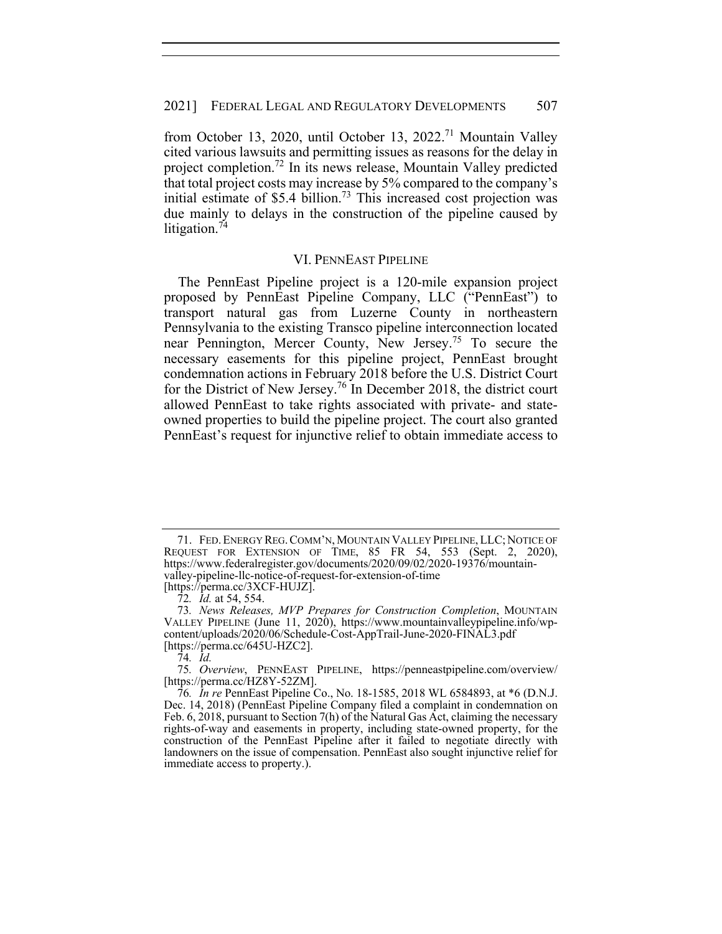from October 13, 2020, until October 13, 2022.71 Mountain Valley cited various lawsuits and permitting issues as reasons for the delay in project completion.<sup>72</sup> In its news release, Mountain Valley predicted that total project costs may increase by 5% compared to the company's initial estimate of  $$5.4$  billion.<sup>73</sup> This increased cost projection was due mainly to delays in the construction of the pipeline caused by litigation.<sup>74</sup>

## VI. PENNEAST PIPELINE

The PennEast Pipeline project is a 120-mile expansion project proposed by PennEast Pipeline Company, LLC ("PennEast") to transport natural gas from Luzerne County in northeastern Pennsylvania to the existing Transco pipeline interconnection located near Pennington, Mercer County, New Jersey.75 To secure the necessary easements for this pipeline project, PennEast brought condemnation actions in February 2018 before the U.S. District Court for the District of New Jersey.76 In December 2018, the district court allowed PennEast to take rights associated with private- and stateowned properties to build the pipeline project. The court also granted PennEast's request for injunctive relief to obtain immediate access to

 <sup>71.</sup> FED.ENERGY REG.COMM'N, MOUNTAIN VALLEY PIPELINE, LLC; NOTICE OF REQUEST FOR EXTENSION OF TIME, 85 FR 54, 553 (Sept. 2, 2020), https://www.federalregister.gov/documents/2020/09/02/2020-19376/mountainvalley-pipeline-llc-notice-of-request-for-extension-of-time

<sup>[</sup>https://perma.cc/3XCF-HUJZ].

<sup>72</sup>*. Id.* at 54, 554.

<sup>73</sup>*. News Releases, MVP Prepares for Construction Completion*, MOUNTAIN VALLEY PIPELINE (June 11, 2020), https://www.mountainvalleypipeline.info/wpcontent/uploads/2020/06/Schedule-Cost-AppTrail-June-2020-FINAL3.pdf [https://perma.cc/645U-HZC2].

<sup>74</sup>*. Id.*

<sup>75</sup>*. Overview*, PENNEAST PIPELINE, https://penneastpipeline.com/overview/ [https://perma.cc/HZ8Y-52ZM].

<sup>76</sup>*. In re* PennEast Pipeline Co., No. 18-1585, 2018 WL 6584893, at \*6 (D.N.J. Dec. 14, 2018) (PennEast Pipeline Company filed a complaint in condemnation on Feb. 6, 2018, pursuant to Section 7(h) of the Natural Gas Act, claiming the necessary rights-of-way and easements in property, including state-owned property, for the construction of the PennEast Pipeline after it failed to negotiate directly with landowners on the issue of compensation. PennEast also sought injunctive relief for immediate access to property.).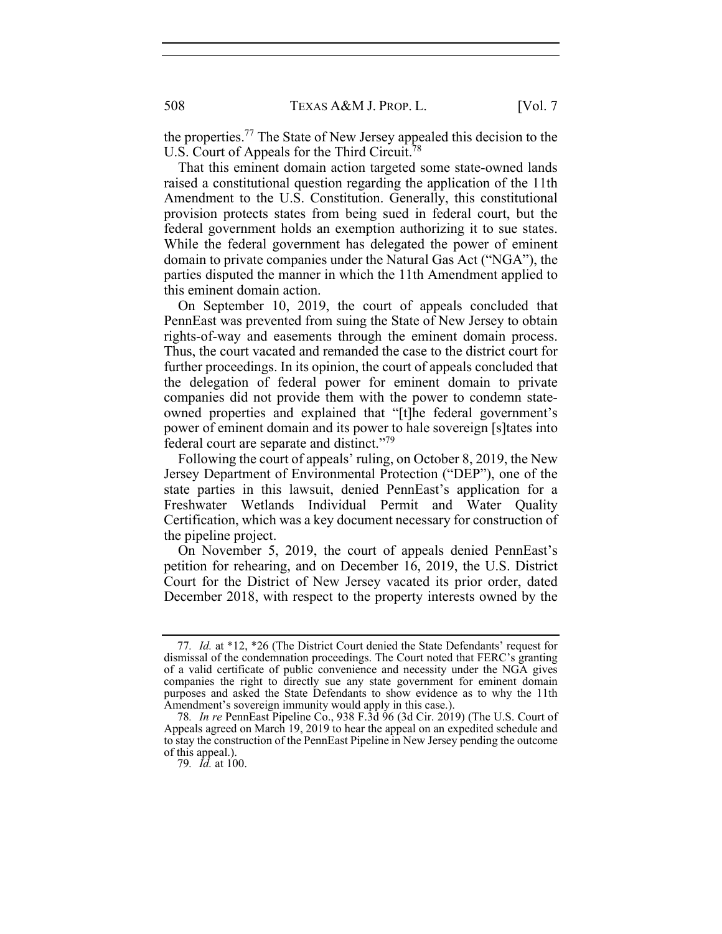the properties.77 The State of New Jersey appealed this decision to the U.S. Court of Appeals for the Third Circuit.<sup>78</sup>

That this eminent domain action targeted some state-owned lands raised a constitutional question regarding the application of the 11th Amendment to the U.S. Constitution. Generally, this constitutional provision protects states from being sued in federal court, but the federal government holds an exemption authorizing it to sue states. While the federal government has delegated the power of eminent domain to private companies under the Natural Gas Act ("NGA"), the parties disputed the manner in which the 11th Amendment applied to this eminent domain action.

On September 10, 2019, the court of appeals concluded that PennEast was prevented from suing the State of New Jersey to obtain rights-of-way and easements through the eminent domain process. Thus, the court vacated and remanded the case to the district court for further proceedings. In its opinion, the court of appeals concluded that the delegation of federal power for eminent domain to private companies did not provide them with the power to condemn stateowned properties and explained that "[t]he federal government's power of eminent domain and its power to hale sovereign [s]tates into federal court are separate and distinct."79

Following the court of appeals' ruling, on October 8, 2019, the New Jersey Department of Environmental Protection ("DEP"), one of the state parties in this lawsuit, denied PennEast's application for a Freshwater Wetlands Individual Permit and Water Quality Certification, which was a key document necessary for construction of the pipeline project.

On November 5, 2019, the court of appeals denied PennEast's petition for rehearing, and on December 16, 2019, the U.S. District Court for the District of New Jersey vacated its prior order, dated December 2018, with respect to the property interests owned by the

<sup>77</sup>*. Id.* at \*12, \*26 (The District Court denied the State Defendants' request for dismissal of the condemnation proceedings. The Court noted that FERC's granting of a valid certificate of public convenience and necessity under the NGA gives companies the right to directly sue any state government for eminent domain purposes and asked the State Defendants to show evidence as to why the 11th Amendment's sovereign immunity would apply in this case.).

<sup>78</sup>*. In re* PennEast Pipeline Co., 938 F.3d 96 (3d Cir. 2019) (The U.S. Court of Appeals agreed on March 19, 2019 to hear the appeal on an expedited schedule and to stay the construction of the PennEast Pipeline in New Jersey pending the outcome of this appeal.).

<sup>79</sup>*. Id.* at 100.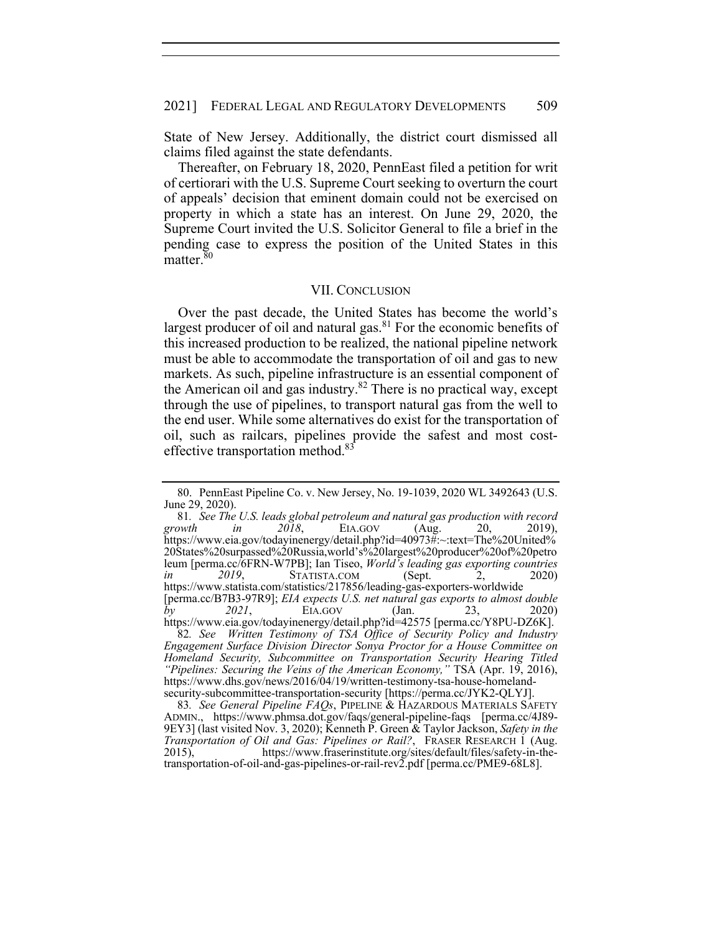State of New Jersey. Additionally, the district court dismissed all claims filed against the state defendants.

Thereafter, on February 18, 2020, PennEast filed a petition for writ of certiorari with the U.S. Supreme Court seeking to overturn the court of appeals' decision that eminent domain could not be exercised on property in which a state has an interest. On June 29, 2020, the Supreme Court invited the U.S. Solicitor General to file a brief in the pending case to express the position of the United States in this matter.<sup>80</sup>

### VII. CONCLUSION

Over the past decade, the United States has become the world's largest producer of oil and natural gas. $81$  For the economic benefits of this increased production to be realized, the national pipeline network must be able to accommodate the transportation of oil and gas to new markets. As such, pipeline infrastructure is an essential component of the American oil and gas industry.<sup>82</sup> There is no practical way, except through the use of pipelines, to transport natural gas from the well to the end user. While some alternatives do exist for the transportation of oil, such as railcars, pipelines provide the safest and most costeffective transportation method.<sup>83</sup>

 <sup>80.</sup> PennEast Pipeline Co. v. New Jersey, No. 19-1039, 2020 WL 3492643 (U.S. June 29, 2020).

<sup>81</sup>*. See The U.S. leads global petroleum and natural gas production with record growth in 2018*, EIA.GOV (Aug. 20, 2019), https://www.eia.gov/todayinenergy/detail.php?id=40973#:~:text=The%20United% 20States%20surpassed%20Russia,world's%20largest%20producer%20of%20petro leum [perma.cc/6FRN-W7PB]; Ian Tiseo, *World's leading gas exporting countries in* 2019, STATISTA.COM (Sept. 2, 2020) https://www.statista.com/statistics/217856/leading-gas-exporters-worldwide [perma.cc/B7B3-97R9]; *EIA expects U.S. net natural gas exports to almost double by 2021*, EIA.GOV (Jan. 23, 2020) https://www.eia.gov/todayinenergy/detail.php?id=42575 [perma.cc/Y8PU-DZ6K].

<sup>82</sup>*. See Written Testimony of TSA Office of Security Policy and Industry Engagement Surface Division Director Sonya Proctor for a House Committee on Homeland Security, Subcommittee on Transportation Security Hearing Titled "Pipelines: Securing the Veins of the American Economy,"* TSA (Apr. 19, 2016), https://www.dhs.gov/news/2016/04/19/written-testimony-tsa-house-homelandsecurity-subcommittee-transportation-security [https://perma.cc/JYK2-QLYJ].

<sup>83</sup>*. See General Pipeline FAQs*, PIPELINE & HAZARDOUS MATERIALS SAFETY ADMIN., https://www.phmsa.dot.gov/faqs/general-pipeline-faqs [perma.cc/4J89- 9EY3] (last visited Nov. 3, 2020); Kenneth P. Green & Taylor Jackson, *Safety in the Transportation of Oil and Gas: Pipelines or Rail?*, FRASER RESEARCH 1 (Aug. 2015), https://www.fraserinstitute.org/sites/default/files/safety-in-thetransportation-of-oil-and-gas-pipelines-or-rail-rev2.pdf [perma.cc/PME9-68L8].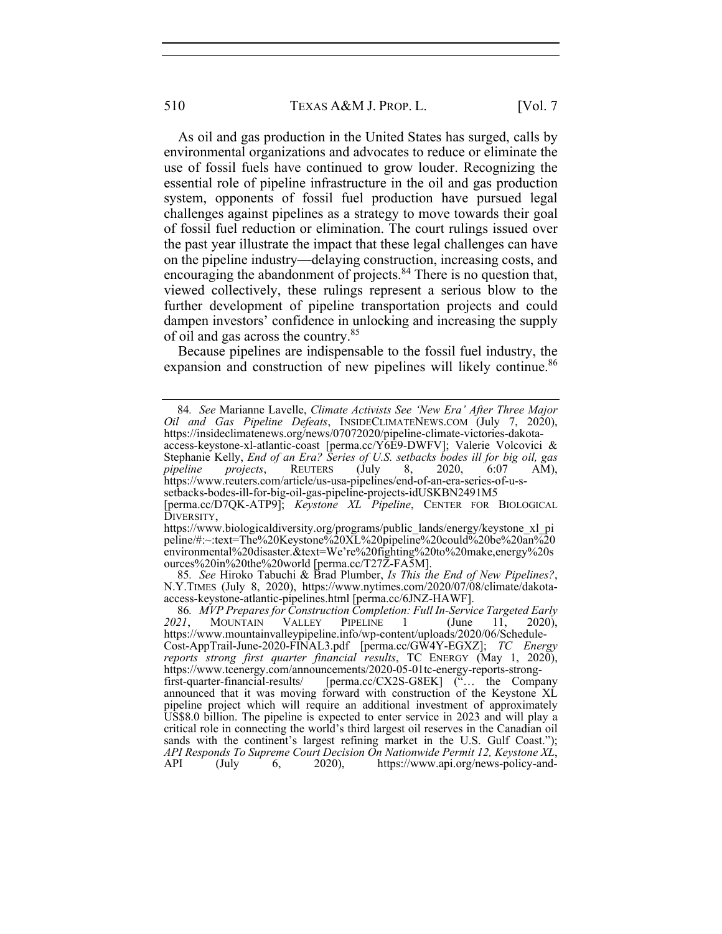As oil and gas production in the United States has surged, calls by environmental organizations and advocates to reduce or eliminate the use of fossil fuels have continued to grow louder. Recognizing the essential role of pipeline infrastructure in the oil and gas production system, opponents of fossil fuel production have pursued legal challenges against pipelines as a strategy to move towards their goal of fossil fuel reduction or elimination. The court rulings issued over the past year illustrate the impact that these legal challenges can have on the pipeline industry—delaying construction, increasing costs, and encouraging the abandonment of projects.<sup>84</sup> There is no question that, viewed collectively, these rulings represent a serious blow to the further development of pipeline transportation projects and could dampen investors' confidence in unlocking and increasing the supply of oil and gas across the country.<sup>85</sup>

Because pipelines are indispensable to the fossil fuel industry, the expansion and construction of new pipelines will likely continue.<sup>86</sup>

setbacks-bodes-ill-for-big-oil-gas-pipeline-projects-idUSKBN2491M5

85*. See* Hiroko Tabuchi & Brad Plumber, *Is This the End of New Pipelines?*, N.Y.TIMES (July 8, 2020), https://www.nytimes.com/2020/07/08/climate/dakotaaccess-keystone-atlantic-pipelines.html [perma.cc/6JNZ-HAWF].

<sup>84</sup>*. See* Marianne Lavelle, *Climate Activists See 'New Era' After Three Major Oil and Gas Pipeline Defeats*, INSIDECLIMATENEWS.COM (July 7, 2020), https://insideclimatenews.org/news/07072020/pipeline-climate-victories-dakotaaccess-keystone-xl-atlantic-coast [perma.cc/Y6E9-DWFV]; Valerie Volcovici & Stephanie Kelly, *End of an Era? Series of U.S. setbacks bodes ill for big oil, gas pipeline projects*, REUTERS (July 8, 2020, 6:07 AM), https://www.reuters.com/article/us-usa-pipelines/end-of-an-era-series-of-u-s-

<sup>[</sup>perma.cc/D7QK-ATP9]; *Keystone XL Pipeline*, CENTER FOR BIOLOGICAL DIVERSITY,

https://www.biologicaldiversity.org/programs/public\_lands/energy/keystone\_xl\_pi peline/#:~:text=The%20Keystone%20XL%20pipeline%20could%20be%20an%20 environmental%20disaster.&text=We're%20fighting%20to%20make,energy%20s ources%20in%20the%20world [perma.cc/T27Z-FA5M].

<sup>86</sup>*. MVP Prepares for Construction Completion: Full In-Service Targeted Early*  2021, MOUNTAIN VALLEY PIPELINE 1 (June 11, https://www.mountainvalleypipeline.info/wp-content/uploads/2020/06/Schedule-Cost-AppTrail-June-2020-FINAL3.pdf [perma.cc/GW4Y-EGXZ]; *TC Energy reports strong first quarter financial results*, TC ENERGY (May 1, 2020), https://www.tcenergy.com/announcements/2020-05-01tc-energy-reports-strongfirst-quarter-financial-results/ [perma.cc/CX2S-G8EK] ("… the Company announced that it was moving forward with construction of the Keystone XL pipeline project which will require an additional investment of approximately US\$8.0 billion. The pipeline is expected to enter service in 2023 and will play a critical role in connecting the world's third largest oil reserves in the Canadian oil sands with the continent's largest refining market in the U.S. Gulf Coast."); *API Responds To Supreme Court Decision On Nationwide Permit 12, Keystone XL*, API (July 6, 2020), https://www.api.org/news-policy-and-